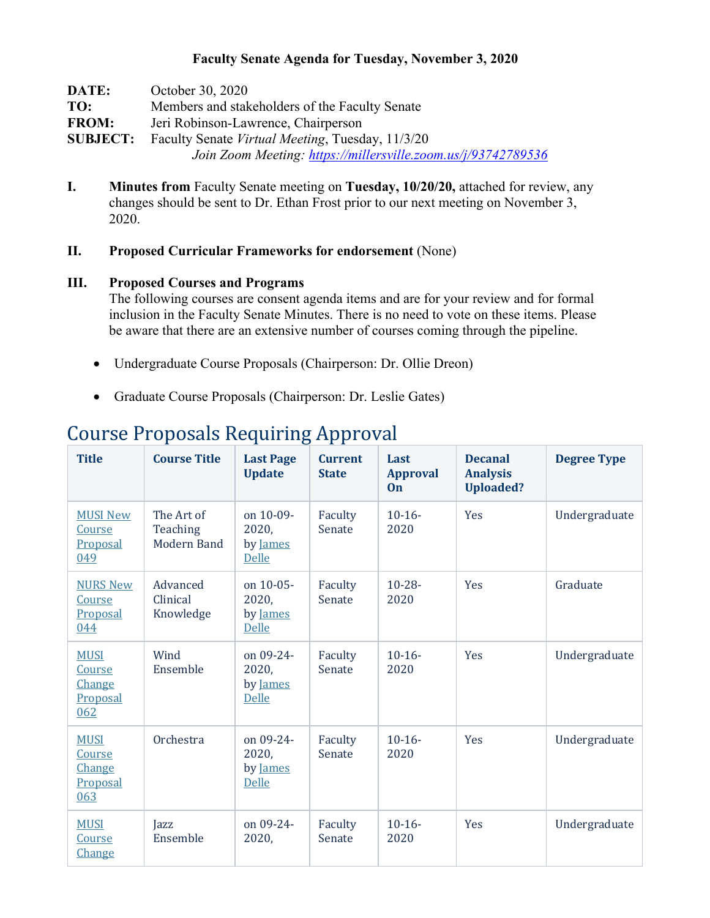### **Faculty Senate Agenda for Tuesday, November 3, 2020**

| DATE:           | October 30, 2020                                              |
|-----------------|---------------------------------------------------------------|
| TO:             | Members and stakeholders of the Faculty Senate                |
| <b>FROM:</b>    | Jeri Robinson-Lawrence, Chairperson                           |
| <b>SUBJECT:</b> | Faculty Senate Virtual Meeting, Tuesday, 11/3/20              |
|                 | Join Zoom Meeting: https://millersville.zoom.us/j/93742789536 |

**I. Minutes from** Faculty Senate meeting on **Tuesday, 10/20/20,** attached for review, any changes should be sent to Dr. Ethan Frost prior to our next meeting on November 3, 2020.

### **II. Proposed Curricular Frameworks for endorsement** (None)

#### **III. Proposed Courses and Programs**

The following courses are consent agenda items and are for your review and for formal inclusion in the Faculty Senate Minutes. There is no need to vote on these items. Please be aware that there are an extensive number of courses coming through the pipeline.

- Undergraduate Course Proposals (Chairperson: Dr. Ollie Dreon)
- Graduate Course Proposals (Chairperson: Dr. Leslie Gates)

| <b>Title</b>                                       | <b>Course Title</b>                          | <b>Last Page</b><br><b>Update</b>              | <b>Current</b><br><b>State</b> | Last<br><b>Approval</b><br><b>On</b> | <b>Decanal</b><br><b>Analysis</b><br><b>Uploaded?</b> | <b>Degree Type</b> |
|----------------------------------------------------|----------------------------------------------|------------------------------------------------|--------------------------------|--------------------------------------|-------------------------------------------------------|--------------------|
| <b>MUSI New</b><br>Course<br>Proposal<br>049       | The Art of<br>Teaching<br><b>Modern Band</b> | on 10-09-<br>2020,<br>by James<br>Delle        | Faculty<br>Senate              | $10-16-$<br>2020                     | Yes                                                   | Undergraduate      |
| <b>NURS New</b><br>Course<br>Proposal<br>044       | Advanced<br>Clinical<br>Knowledge            | on 10-05-<br>2020,<br>by James<br>Delle        | Faculty<br>Senate              | $10 - 28 -$<br>2020                  | Yes                                                   | Graduate           |
| <b>MUSI</b><br>Course<br>Change<br>Proposal<br>062 | Wind<br>Ensemble                             | on 09-24-<br>2020,<br>by James<br><b>Delle</b> | Faculty<br>Senate              | $10-16-$<br>2020                     | Yes                                                   | Undergraduate      |
| <b>MUSI</b><br>Course<br>Change<br>Proposal<br>063 | Orchestra                                    | on 09-24-<br>2020,<br>by James<br><b>Delle</b> | Faculty<br>Senate              | $10-16-$<br>2020                     | Yes                                                   | Undergraduate      |
| <b>MUSI</b><br>Course<br>Change                    | Jazz<br>Ensemble                             | on 09-24-<br>2020,                             | Faculty<br>Senate              | $10-16-$<br>2020                     | Yes                                                   | Undergraduate      |

## Course Proposals Requiring Approval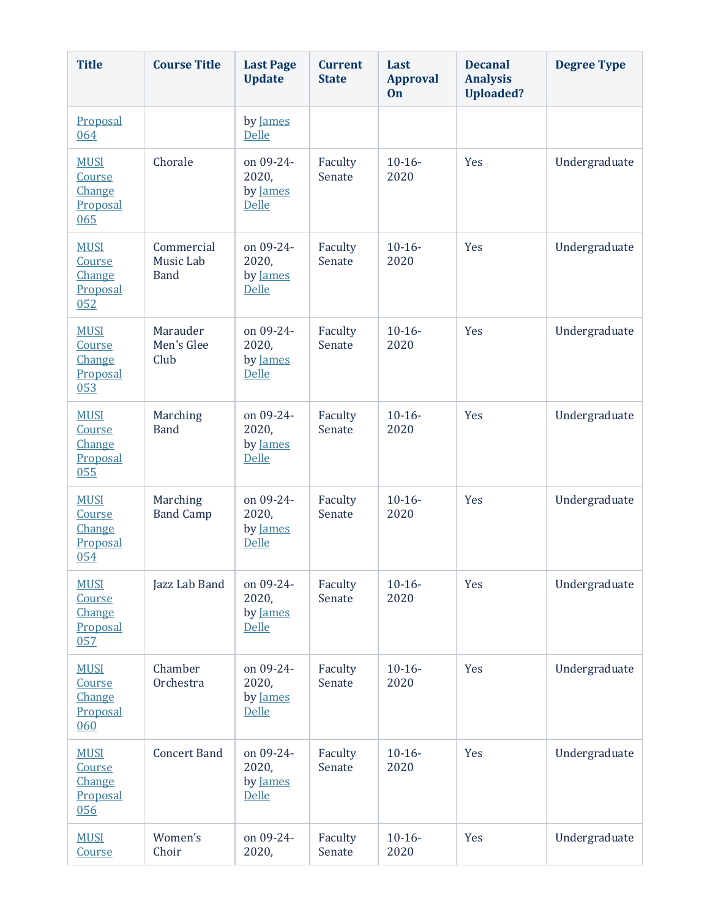| <b>Title</b>                                       | <b>Course Title</b>                    | <b>Last Page</b><br><b>Update</b>              | <b>Current</b><br><b>State</b> | Last<br><b>Approval</b><br>On | <b>Decanal</b><br><b>Analysis</b><br><b>Uploaded?</b> | <b>Degree Type</b> |
|----------------------------------------------------|----------------------------------------|------------------------------------------------|--------------------------------|-------------------------------|-------------------------------------------------------|--------------------|
| Proposal<br>064                                    |                                        | by James<br><b>Delle</b>                       |                                |                               |                                                       |                    |
| <b>MUSI</b><br>Course<br>Change<br>Proposal<br>065 | Chorale                                | on 09-24-<br>2020,<br>by James<br><b>Delle</b> | Faculty<br>Senate              | $10-16-$<br>2020              | Yes                                                   | Undergraduate      |
| <b>MUSI</b><br>Course<br>Change<br>Proposal<br>052 | Commercial<br>Music Lab<br><b>Band</b> | on 09-24-<br>2020,<br>by James<br>Delle        | Faculty<br>Senate              | $10-16-$<br>2020              | Yes                                                   | Undergraduate      |
| <b>MUSI</b><br>Course<br>Change<br>Proposal<br>053 | Marauder<br>Men's Glee<br>Club         | on 09-24-<br>2020,<br>by James<br><b>Delle</b> | Faculty<br>Senate              | $10-16-$<br>2020              | Yes                                                   | Undergraduate      |
| <b>MUSI</b><br>Course<br>Change<br>Proposal<br>055 | Marching<br><b>Band</b>                | on 09-24-<br>2020,<br>by James<br><b>Delle</b> | Faculty<br>Senate              | $10-16-$<br>2020              | Yes                                                   | Undergraduate      |
| <b>MUSI</b><br>Course<br>Change<br>Proposal<br>054 | Marching<br><b>Band Camp</b>           | on 09-24-<br>2020,<br>by James<br>Delle        | Faculty<br>Senate              | $10-16-$<br>2020              | Yes                                                   | Undergraduate      |
| <b>MUSI</b><br>Course<br>Change<br>Proposal<br>057 | Jazz Lab Band                          | on 09-24-<br>2020,<br>by James<br><b>Delle</b> | Faculty<br>Senate              | $10-16-$<br>2020              | Yes                                                   | Undergraduate      |
| <b>MUSI</b><br>Course<br>Change<br>Proposal<br>060 | Chamber<br>Orchestra                   | on 09-24-<br>2020,<br>by James<br><b>Delle</b> | Faculty<br>Senate              | $10-16-$<br>2020              | Yes                                                   | Undergraduate      |
| <b>MUSI</b><br>Course<br>Change<br>Proposal<br>056 | <b>Concert Band</b>                    | on 09-24-<br>2020,<br>by James<br><b>Delle</b> | Faculty<br>Senate              | $10-16-$<br>2020              | Yes                                                   | Undergraduate      |
| <b>MUSI</b><br>Course                              | Women's<br>Choir                       | on 09-24-<br>2020,                             | Faculty<br>Senate              | $10-16-$<br>2020              | Yes                                                   | Undergraduate      |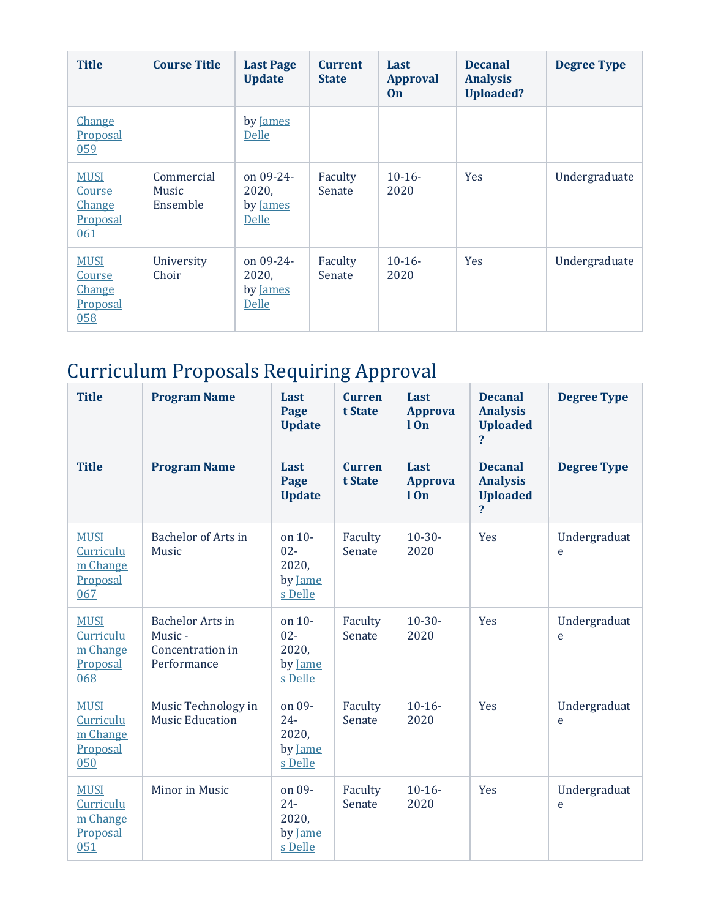| <b>Title</b>                                              | <b>Course Title</b>             | <b>Last Page</b><br><b>Update</b>              | <b>Current</b><br><b>State</b> | Last<br><b>Approval</b><br>On | <b>Decanal</b><br><b>Analysis</b><br><b>Uploaded?</b> | <b>Degree Type</b> |
|-----------------------------------------------------------|---------------------------------|------------------------------------------------|--------------------------------|-------------------------------|-------------------------------------------------------|--------------------|
| <b>Change</b><br><b>Proposal</b><br>059                   |                                 | by James<br>Delle                              |                                |                               |                                                       |                    |
| <b>MUSI</b><br>Course<br><b>Change</b><br>Proposal<br>061 | Commercial<br>Music<br>Ensemble | on 09-24-<br>2020,<br>by James<br><b>Delle</b> | Faculty<br>Senate              | $10-16-$<br>2020              | Yes                                                   | Undergraduate      |
| <b>MUSI</b><br>Course<br><b>Change</b><br>Proposal<br>058 | University<br>Choir             | on $09-24-$<br>2020,<br>by James<br>Delle      | Faculty<br>Senate              | $10-16-$<br>2020              | <b>Yes</b>                                            | Undergraduate      |

# Curriculum Proposals Requiring Approval

| <b>Title</b>                                            | <b>Program Name</b>                                                  | Last<br>Page<br><b>Update</b>                   | <b>Curren</b><br>t State | Last<br><b>Approva</b><br>10 <sub>n</sub> | <b>Decanal</b><br><b>Analysis</b><br><b>Uploaded</b><br>$\overline{\mathbf{?}}$ | <b>Degree Type</b> |
|---------------------------------------------------------|----------------------------------------------------------------------|-------------------------------------------------|--------------------------|-------------------------------------------|---------------------------------------------------------------------------------|--------------------|
| <b>Title</b>                                            | <b>Program Name</b>                                                  | Last<br>Page<br><b>Update</b>                   | <b>Curren</b><br>t State | Last<br><b>Approva</b><br>$1$ On          | <b>Decanal</b><br><b>Analysis</b><br><b>Uploaded</b><br>$\overline{\mathbf{?}}$ | <b>Degree Type</b> |
| <b>MUSI</b><br>Curriculu<br>m Change<br>Proposal<br>067 | <b>Bachelor of Arts in</b><br>Music                                  | on 10-<br>$02 -$<br>2020,<br>by Jame<br>s Delle | Faculty<br>Senate        | $10-30-$<br>2020                          | Yes                                                                             | Undergraduat<br>e  |
| <b>MUSI</b><br>Curriculu<br>m Change<br>Proposal<br>068 | <b>Bachelor Arts in</b><br>Music-<br>Concentration in<br>Performance | on 10-<br>$02 -$<br>2020,<br>by Jame<br>s Delle | Faculty<br>Senate        | $10-30-$<br>2020                          | Yes                                                                             | Undergraduat<br>e  |
| <b>MUSI</b><br>Curriculu<br>m Change<br>Proposal<br>050 | Music Technology in<br><b>Music Education</b>                        | on 09-<br>$24 -$<br>2020,<br>by Jame<br>s Delle | Faculty<br>Senate        | $10-16-$<br>2020                          | Yes                                                                             | Undergraduat<br>e  |
| <b>MUSI</b><br>Curriculu<br>m Change<br>Proposal<br>051 | Minor in Music                                                       | on 09-<br>$24 -$<br>2020,<br>by Jame<br>s Delle | Faculty<br>Senate        | $10-16-$<br>2020                          | Yes                                                                             | Undergraduat<br>e  |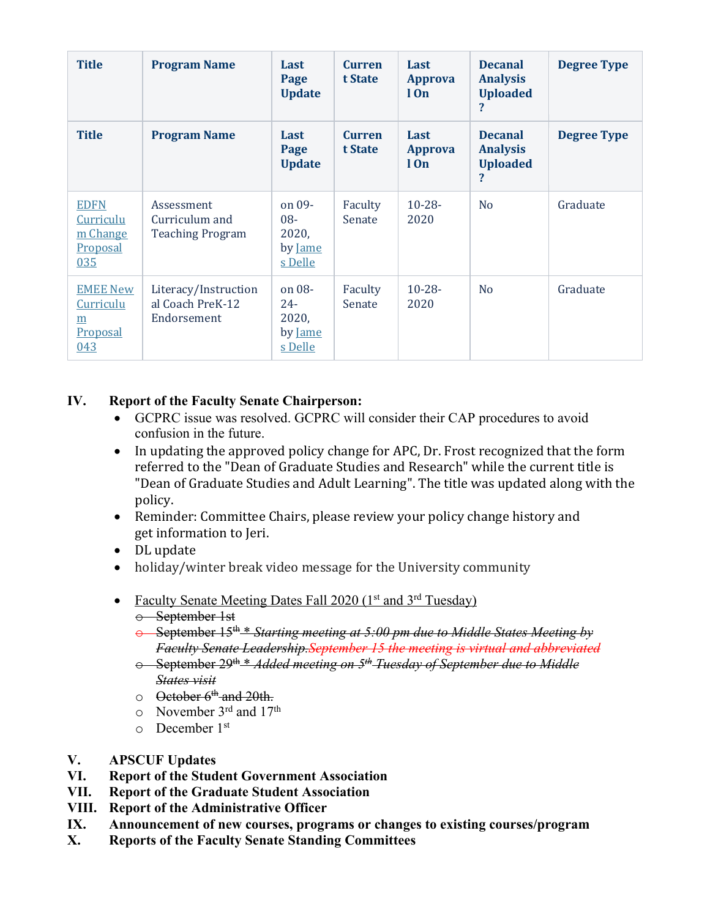| <b>Title</b>                                            | <b>Program Name</b>                                     | Last<br>Page<br><b>Update</b>                     | <b>Curren</b><br>t State | Last<br><b>Approva</b><br>$1$ On | <b>Decanal</b><br><b>Analysis</b><br><b>Uploaded</b><br>? | <b>Degree Type</b> |
|---------------------------------------------------------|---------------------------------------------------------|---------------------------------------------------|--------------------------|----------------------------------|-----------------------------------------------------------|--------------------|
| <b>Title</b>                                            | <b>Program Name</b>                                     | Last<br>Page<br><b>Update</b>                     | <b>Curren</b><br>t State | Last<br><b>Approva</b><br>$1$ On | <b>Decanal</b><br><b>Analysis</b><br><b>Uploaded</b><br>? | <b>Degree Type</b> |
| <b>EDFN</b><br>Curriculu<br>m Change<br>Proposal<br>035 | Assessment<br>Curriculum and<br><b>Teaching Program</b> | on 09-<br>$08 -$<br>2020,<br>by Jame<br>s Delle   | Faculty<br>Senate        | $10 - 28 -$<br>2020              | N <sub>o</sub>                                            | Graduate           |
| <b>EMEE New</b><br>Curriculu<br>m<br>Proposal<br>043    | Literacy/Instruction<br>al Coach PreK-12<br>Endorsement | on $08-$<br>$24 -$<br>2020,<br>by Jame<br>s Delle | Faculty<br>Senate        | $10 - 28 -$<br>2020              | N <sub>o</sub>                                            | Graduate           |

### **IV. Report of the Faculty Senate Chairperson:**

- GCPRC issue was resolved. GCPRC will consider their CAP procedures to avoid confusion in the future.
- In updating the approved policy change for APC, Dr. Frost recognized that the form referred to the "Dean of Graduate Studies and Research" while the current title is "Dean of Graduate Studies and Adult Learning". The title was updated along with the policy.
- Reminder: Committee Chairs, please review your policy change history and get information to Jeri.
- DL update
- $\bullet$  holiday/winter break video message for the University community
- Faculty Senate Meeting Dates Fall 2020 ( $1<sup>st</sup>$  and  $3<sup>rd</sup>$  Tuesday)
	- o September 1st
	- o September 15th \* *Starting meeting at 5:00 pm due to Middle States Meeting by Faculty Senate Leadership.September 15 the meeting is virtual and abbreviated*
	- o September 29th \* *Added meeting on 5th Tuesday of September due to Middle States visit*
	- $\circ$  October 6<sup>th</sup> and 20th.
	- $\circ$  November 3<sup>rd</sup> and 17<sup>th</sup>
	- o December 1st
- **V. APSCUF Updates**
- **VI. Report of the Student Government Association**
- **VII. Report of the Graduate Student Association**
- **VIII. Report of the Administrative Officer**
- **IX. Announcement of new courses, programs or changes to existing courses/program**
- **X. Reports of the Faculty Senate Standing Committees**